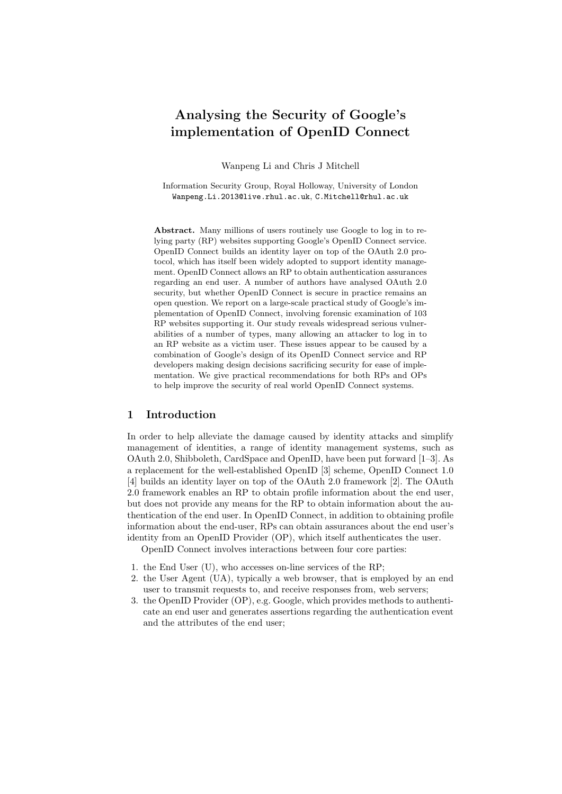# **Analysing the Security of Google's implementation of OpenID Connect**

Wanpeng Li and Chris J Mitchell

Information Security Group, Royal Holloway, University of London Wanpeng.Li.2013@live.rhul.ac.uk, C.Mitchell@rhul.ac.uk

Abstract. Many millions of users routinely use Google to log in to relying party (RP) websites supporting Google's OpenID Connect service. OpenID Connect builds an identity layer on top of the OAuth 2.0 protocol, which has itself been widely adopted to support identity management. OpenID Connect allows an RP to obtain authentication assurances regarding an end user. A number of authors have analysed OAuth 2.0 security, but whether OpenID Connect is secure in practice remains an open question. We report on a large-scale practical study of Google's implementation of OpenID Connect, involving forensic examination of 103 RP websites supporting it. Our study reveals widespread serious vulnerabilities of a number of types, many allowing an attacker to log in to an RP website as a victim user. These issues appear to be caused by a combination of Google's design of its OpenID Connect service and RP developers making design decisions sacrificing security for ease of implementation. We give practical recommendations for both RPs and OPs to help improve the security of real world OpenID Connect systems.

### **1 Introduction**

In order to help alleviate the damage caused by identity attacks and simplify management of identities, a range of identity management systems, such as OAuth 2.0, Shibboleth, CardSpace and OpenID, have been put forward [1–3]. As a replacement for the well-established OpenID [3] scheme, OpenID Connect 1.0 [4] builds an identity layer on top of the OAuth 2.0 framework [2]. The OAuth 2.0 framework enables an RP to obtain profile information about the end user, but does not provide any means for the RP to obtain information about the authentication of the end user. In OpenID Connect, in addition to obtaining profile information about the end-user, RPs can obtain assurances about the end user's identity from an OpenID Provider (OP), which itself authenticates the user.

OpenID Connect involves interactions between four core parties:

- 1. the End User (U), who accesses on-line services of the RP;
- 2. the User Agent (UA), typically a web browser, that is employed by an end user to transmit requests to, and receive responses from, web servers;
- 3. the OpenID Provider (OP), e.g. Google, which provides methods to authenticate an end user and generates assertions regarding the authentication event and the attributes of the end user;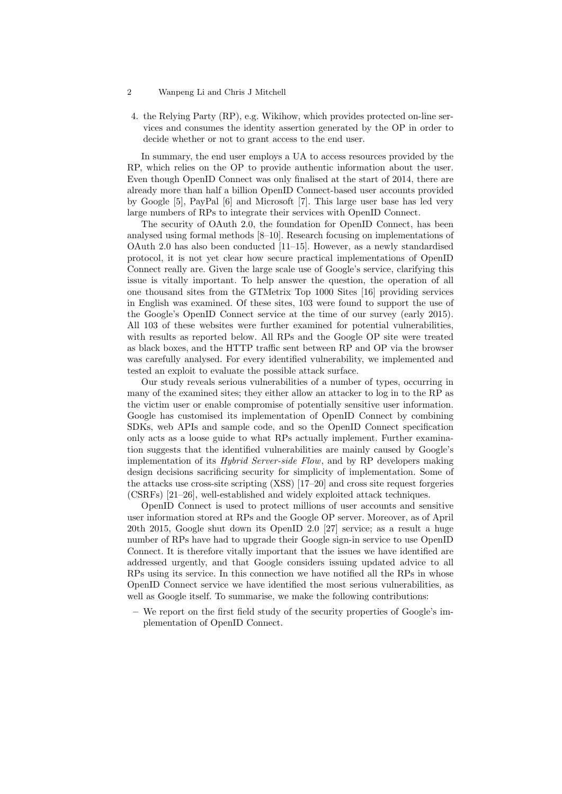- 2 Wanpeng Li and Chris J Mitchell
- 4. the Relying Party (RP), e.g. Wikihow, which provides protected on-line services and consumes the identity assertion generated by the OP in order to decide whether or not to grant access to the end user.

In summary, the end user employs a UA to access resources provided by the RP, which relies on the OP to provide authentic information about the user. Even though OpenID Connect was only finalised at the start of 2014, there are already more than half a billion OpenID Connect-based user accounts provided by Google [5], PayPal [6] and Microsoft [7]. This large user base has led very large numbers of RPs to integrate their services with OpenID Connect.

The security of OAuth 2.0, the foundation for OpenID Connect, has been analysed using formal methods [8–10]. Research focusing on implementations of OAuth 2.0 has also been conducted  $[11-15]$ . However, as a newly standardised protocol, it is not yet clear how secure practical implementations of OpenID Connect really are. Given the large scale use of Google's service, clarifying this issue is vitally important. To help answer the question, the operation of all one thousand sites from the GTMetrix Top 1000 Sites [16] providing services in English was examined. Of these sites, 103 were found to support the use of the Google's OpenID Connect service at the time of our survey (early 2015). All 103 of these websites were further examined for potential vulnerabilities, with results as reported below. All RPs and the Google OP site were treated as black boxes, and the HTTP traffic sent between RP and OP via the browser was carefully analysed. For every identified vulnerability, we implemented and tested an exploit to evaluate the possible attack surface.

Our study reveals serious vulnerabilities of a number of types, occurring in many of the examined sites; they either allow an attacker to log in to the RP as the victim user or enable compromise of potentially sensitive user information. Google has customised its implementation of OpenID Connect by combining SDKs, web APIs and sample code, and so the OpenID Connect specification only acts as a loose guide to what RPs actually implement. Further examination suggests that the identified vulnerabilities are mainly caused by Google's implementation of its *Hybrid Server-side Flow*, and by RP developers making design decisions sacrificing security for simplicity of implementation. Some of the attacks use cross-site scripting (XSS) [17–20] and cross site request forgeries (CSRFs) [21–26], well-established and widely exploited attack techniques.

OpenID Connect is used to protect millions of user accounts and sensitive user information stored at RPs and the Google OP server. Moreover, as of April 20th 2015, Google shut down its OpenID 2.0 [27] service; as a result a huge number of RPs have had to upgrade their Google sign-in service to use OpenID Connect. It is therefore vitally important that the issues we have identified are addressed urgently, and that Google considers issuing updated advice to all RPs using its service. In this connection we have notified all the RPs in whose OpenID Connect service we have identified the most serious vulnerabilities, as well as Google itself. To summarise, we make the following contributions:

**–** We report on the first field study of the security properties of Google's implementation of OpenID Connect.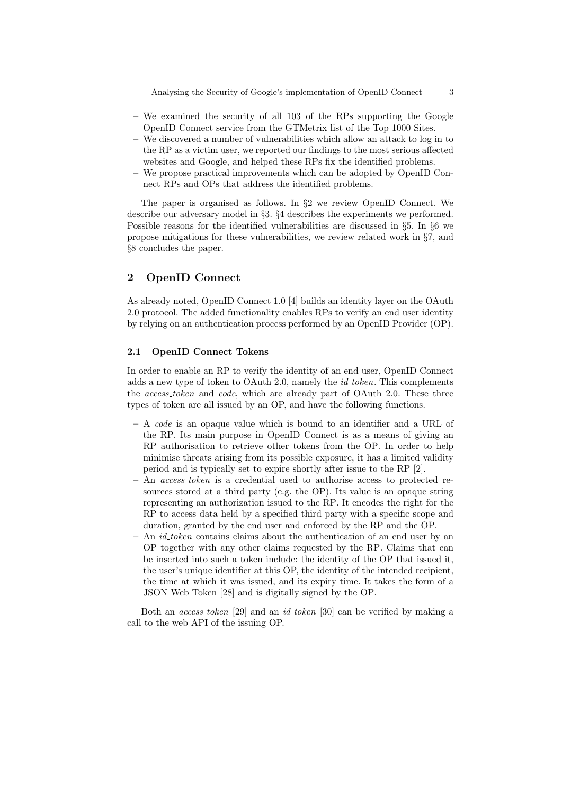Analysing the Security of Google's implementation of OpenID Connect 3

- **–** We examined the security of all 103 of the RPs supporting the Google OpenID Connect service from the GTMetrix list of the Top 1000 Sites.
- **–** We discovered a number of vulnerabilities which allow an attack to log in to the RP as a victim user, we reported our findings to the most serious affected websites and Google, and helped these RPs fix the identified problems.
- **–** We propose practical improvements which can be adopted by OpenID Connect RPs and OPs that address the identified problems.

The paper is organised as follows. In *§*2 we review OpenID Connect. We describe our adversary model in *§*3. *§*4 describes the experiments we performed. Possible reasons for the identified vulnerabilities are discussed in *§*5. In *§*6 we propose mitigations for these vulnerabilities, we review related work in *§*7, and *§*8 concludes the paper.

### **2 OpenID Connect**

As already noted, OpenID Connect 1.0 [4] builds an identity layer on the OAuth 2.0 protocol. The added functionality enables RPs to verify an end user identity by relying on an authentication process performed by an OpenID Provider (OP).

### **2.1 OpenID Connect Tokens**

In order to enable an RP to verify the identity of an end user, OpenID Connect adds a new type of token to OAuth 2.0, namely the *id token*. This complements the *access token* and *code*, which are already part of OAuth 2.0. These three types of token are all issued by an OP, and have the following functions.

- **–** A *code* is an opaque value which is bound to an identifier and a URL of the RP. Its main purpose in OpenID Connect is as a means of giving an RP authorisation to retrieve other tokens from the OP. In order to help minimise threats arising from its possible exposure, it has a limited validity period and is typically set to expire shortly after issue to the RP [2].
- **–** An *access token* is a credential used to authorise access to protected resources stored at a third party (e.g. the OP). Its value is an opaque string representing an authorization issued to the RP. It encodes the right for the RP to access data held by a specified third party with a specific scope and duration, granted by the end user and enforced by the RP and the OP.
- **–** An *id token* contains claims about the authentication of an end user by an OP together with any other claims requested by the RP. Claims that can be inserted into such a token include: the identity of the OP that issued it, the user's unique identifier at this OP, the identity of the intended recipient, the time at which it was issued, and its expiry time. It takes the form of a JSON Web Token [28] and is digitally signed by the OP.

Both an *access token* [29] and an *id token* [30] can be verified by making a call to the web API of the issuing OP.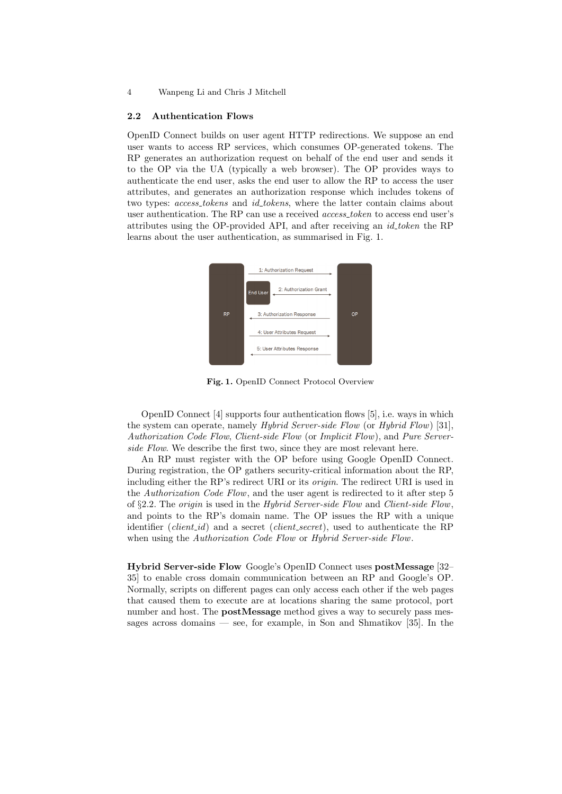#### **2.2 Authentication Flows**

OpenID Connect builds on user agent HTTP redirections. We suppose an end user wants to access RP services, which consumes OP-generated tokens. The RP generates an authorization request on behalf of the end user and sends it to the OP via the UA (typically a web browser). The OP provides ways to authenticate the end user, asks the end user to allow the RP to access the user attributes, and generates an authorization response which includes tokens of two types: *access tokens* and *id tokens*, where the latter contain claims about user authentication. The RP can use a received *access token* to access end user's attributes using the OP-provided API, and after receiving an *id token* the RP learns about the user authentication, as summarised in Fig. 1.



**Fig. 1.** OpenID Connect Protocol Overview

OpenID Connect [4] supports four authentication flows [5], i.e. ways in which the system can operate, namely *Hybrid Server-side Flow* (or *Hybrid Flow*) [31], *Authorization Code Flow*, *Client-side Flow* (or *Implicit Flow*), and *Pure Serverside Flow*. We describe the first two, since they are most relevant here.

An RP must register with the OP before using Google OpenID Connect. During registration, the OP gathers security-critical information about the RP, including either the RP's redirect URI or its *origin*. The redirect URI is used in the *Authorization Code Flow*, and the user agent is redirected to it after step 5 of *§*2.2. The *origin* is used in the *Hybrid Server-side Flow* and *Client-side Flow*, and points to the RP's domain name. The OP issues the RP with a unique identifier (*client id*) and a secret (*client secret*), used to authenticate the RP when using the *Authorization Code Flow* or *Hybrid Server-side Flow*.

**Hybrid Server-side Flow** Google's OpenID Connect uses **postMessage** [32– 35] to enable cross domain communication between an RP and Google's OP. Normally, scripts on different pages can only access each other if the web pages that caused them to execute are at locations sharing the same protocol, port number and host. The **postMessage** method gives a way to securely pass messages across domains — see, for example, in Son and Shmatikov [35]. In the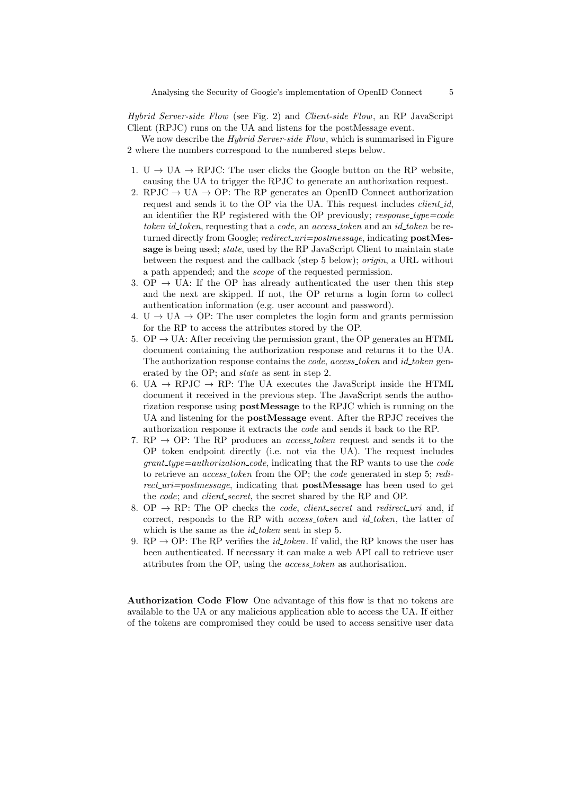*Hybrid Server-side Flow* (see Fig. 2) and *Client-side Flow*, an RP JavaScript Client (RPJC) runs on the UA and listens for the postMessage event.

We now describe the *Hybrid Server-side Flow*, which is summarised in Figure 2 where the numbers correspond to the numbered steps below.

- 1. U  $\rightarrow$  UA  $\rightarrow$  RPJC: The user clicks the Google button on the RP website, causing the UA to trigger the RPJC to generate an authorization request.
- 2. RPJC  $\rightarrow$  UA  $\rightarrow$  OP: The RP generates an OpenID Connect authorization request and sends it to the OP via the UA. This request includes *client id*, an identifier the RP registered with the OP previously; *response type=code token id token*, requesting that a *code*, an *access token* and an *id token* be returned directly from Google; *redirect uri=postmessage*, indicating **postMessage** is being used; *state*, used by the RP JavaScript Client to maintain state between the request and the callback (step 5 below); *origin*, a URL without a path appended; and the *scope* of the requested permission.
- 3. OP  $\rightarrow$  UA: If the OP has already authenticated the user then this step and the next are skipped. If not, the OP returns a login form to collect authentication information (e.g. user account and password).
- 4. U  $\rightarrow$  UA  $\rightarrow$  OP: The user completes the login form and grants permission for the RP to access the attributes stored by the OP.
- 5. OP *→* UA: After receiving the permission grant, the OP generates an HTML document containing the authorization response and returns it to the UA. The authorization response contains the *code*, *access token* and *id token* generated by the OP; and *state* as sent in step 2.
- 6. UA  $\rightarrow$  RPJC  $\rightarrow$  RP: The UA executes the JavaScript inside the HTML document it received in the previous step. The JavaScript sends the authorization response using **postMessage** to the RPJC which is running on the UA and listening for the **postMessage** event. After the RPJC receives the authorization response it extracts the *code* and sends it back to the RP.
- 7. RP *→* OP: The RP produces an *access token* request and sends it to the OP token endpoint directly (i.e. not via the UA). The request includes *grant type=authorization code*, indicating that the RP wants to use the *code* to retrieve an *access token* from the OP; the *code* generated in step 5; *redirect uri=postmessage*, indicating that **postMessage** has been used to get the *code*; and *client secret*, the secret shared by the RP and OP.
- 8. OP  $\rightarrow$  RP: The OP checks the *code*, *client\_secret* and *redirect\_uri* and, if correct, responds to the RP with *access token* and *id token*, the latter of which is the same as the *id token* sent in step 5.
- 9. RP  $\rightarrow$  OP: The RP verifies the *id\_token*. If valid, the RP knows the user has been authenticated. If necessary it can make a web API call to retrieve user attributes from the OP, using the *access token* as authorisation.

**Authorization Code Flow** One advantage of this flow is that no tokens are available to the UA or any malicious application able to access the UA. If either of the tokens are compromised they could be used to access sensitive user data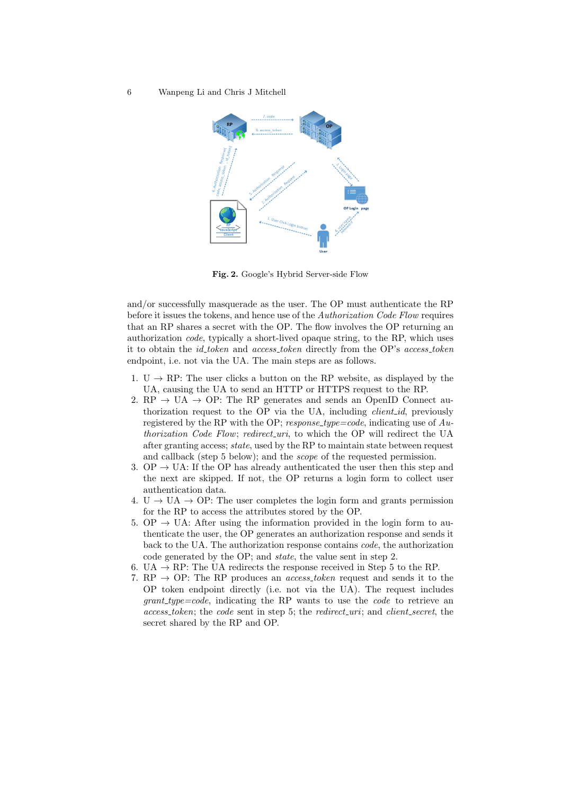

**Fig. 2.** Google's Hybrid Server-side Flow

and/or successfully masquerade as the user. The OP must authenticate the RP before it issues the tokens, and hence use of the *Authorization Code Flow* requires that an RP shares a secret with the OP. The flow involves the OP returning an authorization *code*, typically a short-lived opaque string, to the RP, which uses it to obtain the *id token* and *access token* directly from the OP's *access token* endpoint, i.e. not via the UA. The main steps are as follows.

- 1. U *→* RP: The user clicks a button on the RP website, as displayed by the UA, causing the UA to send an HTTP or HTTPS request to the RP.
- 2.  $RP \rightarrow UA \rightarrow OP$ : The RP generates and sends an OpenID Connect authorization request to the OP via the UA, including *client<sub>id*</sub>, previously registered by the RP with the OP; *response type=code*, indicating use of *Authorization Code Flow*; *redirect uri*, to which the OP will redirect the UA after granting access; *state*, used by the RP to maintain state between request and callback (step 5 below); and the *scope* of the requested permission.
- 3. OP *→* UA: If the OP has already authenticated the user then this step and the next are skipped. If not, the OP returns a login form to collect user authentication data.
- 4. U  $\rightarrow$  UA  $\rightarrow$  OP: The user completes the login form and grants permission for the RP to access the attributes stored by the OP.
- 5. OP *→* UA: After using the information provided in the login form to authenticate the user, the OP generates an authorization response and sends it back to the UA. The authorization response contains *code*, the authorization code generated by the OP; and *state*, the value sent in step 2.
- 6. UA  $\rightarrow$  RP: The UA redirects the response received in Step 5 to the RP.
- 7. RP *→* OP: The RP produces an *access token* request and sends it to the OP token endpoint directly (i.e. not via the UA). The request includes *grant type=code*, indicating the RP wants to use the *code* to retrieve an *access token*; the *code* sent in step 5; the *redirect uri*; and *client secret*, the secret shared by the RP and OP.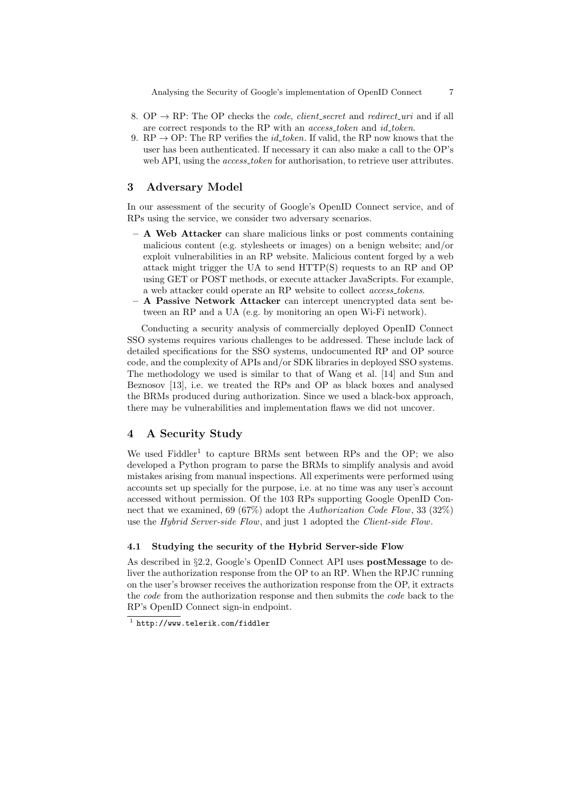Analysing the Security of Google's implementation of OpenID Connect 7

- 8. OP  $\rightarrow$  RP: The OP checks the *code, client\_secret* and *redirect\_uri* and if all are correct responds to the RP with an *access token* and *id token*.
- 9. RP *→* OP: The RP verifies the *id token*. If valid, the RP now knows that the user has been authenticated. If necessary it can also make a call to the OP's web API, using the *access token* for authorisation, to retrieve user attributes.

### **3 Adversary Model**

In our assessment of the security of Google's OpenID Connect service, and of RPs using the service, we consider two adversary scenarios.

- **– A Web Attacker** can share malicious links or post comments containing malicious content (e.g. stylesheets or images) on a benign website; and/or exploit vulnerabilities in an RP website. Malicious content forged by a web attack might trigger the UA to send HTTP(S) requests to an RP and OP using GET or POST methods, or execute attacker JavaScripts. For example, a web attacker could operate an RP website to collect *access tokens*.
- **– A Passive Network Attacker** can intercept unencrypted data sent between an RP and a UA (e.g. by monitoring an open Wi-Fi network).

Conducting a security analysis of commercially deployed OpenID Connect SSO systems requires various challenges to be addressed. These include lack of detailed specifications for the SSO systems, undocumented RP and OP source code, and the complexity of APIs and/or SDK libraries in deployed SSO systems. The methodology we used is similar to that of Wang et al. [14] and Sun and Beznosov [13], i.e. we treated the RPs and OP as black boxes and analysed the BRMs produced during authorization. Since we used a black-box approach, there may be vulnerabilities and implementation flaws we did not uncover.

### **4 A Security Study**

We used Fiddler<sup>1</sup> to capture BRMs sent between RPs and the OP; we also developed a Python program to parse the BRMs to simplify analysis and avoid mistakes arising from manual inspections. All experiments were performed using accounts set up specially for the purpose, i.e. at no time was any user's account accessed without permission. Of the 103 RPs supporting Google OpenID Connect that we examined, 69 (67%) adopt the *Authorization Code Flow*, 33 (32%) use the *Hybrid Server-side Flow*, and just 1 adopted the *Client-side Flow*.

#### **4.1 Studying the security of the Hybrid Server-side Flow**

As described in *§*2.2, Google's OpenID Connect API uses **postMessage** to deliver the authorization response from the OP to an RP. When the RPJC running on the user's browser receives the authorization response from the OP, it extracts the *code* from the authorization response and then submits the *code* back to the RP's OpenID Connect sign-in endpoint.

<sup>1</sup> http://www.telerik.com/fiddler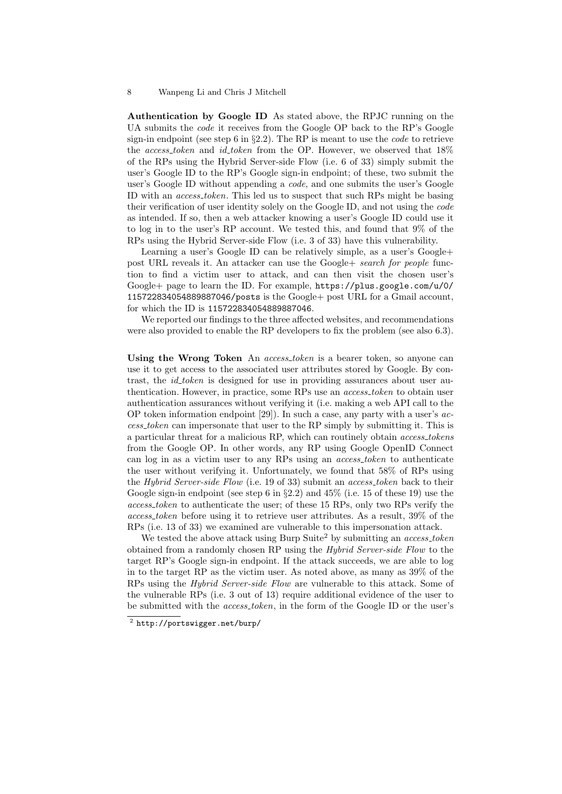**Authentication by Google ID** As stated above, the RPJC running on the UA submits the *code* it receives from the Google OP back to the RP's Google sign-in endpoint (see step 6 in *§*2.2). The RP is meant to use the *code* to retrieve the *access token* and *id token* from the OP. However, we observed that 18% of the RPs using the Hybrid Server-side Flow (i.e. 6 of 33) simply submit the user's Google ID to the RP's Google sign-in endpoint; of these, two submit the user's Google ID without appending a *code*, and one submits the user's Google ID with an *access token*. This led us to suspect that such RPs might be basing their verification of user identity solely on the Google ID, and not using the *code* as intended. If so, then a web attacker knowing a user's Google ID could use it to log in to the user's RP account. We tested this, and found that 9% of the RPs using the Hybrid Server-side Flow (i.e. 3 of 33) have this vulnerability.

Learning a user's Google ID can be relatively simple, as a user's Google+ post URL reveals it. An attacker can use the Google+ *search for people* function to find a victim user to attack, and can then visit the chosen user's Google+ page to learn the ID. For example,  $https://plus.google.com/u/0/$ 115722834054889887046/posts is the Google+ post URL for a Gmail account, for which the ID is 115722834054889887046.

We reported our findings to the three affected websites, and recommendations were also provided to enable the RP developers to fix the problem (see also 6.3).

**Using the Wrong Token** An *access token* is a bearer token, so anyone can use it to get access to the associated user attributes stored by Google. By contrast, the *id token* is designed for use in providing assurances about user authentication. However, in practice, some RPs use an *access token* to obtain user authentication assurances without verifying it (i.e. making a web API call to the OP token information endpoint [29]). In such a case, any party with a user's *access token* can impersonate that user to the RP simply by submitting it. This is a particular threat for a malicious RP, which can routinely obtain *access tokens* from the Google OP. In other words, any RP using Google OpenID Connect can log in as a victim user to any RPs using an *access token* to authenticate the user without verifying it. Unfortunately, we found that 58% of RPs using the *Hybrid Server-side Flow* (i.e. 19 of 33) submit an *access token* back to their Google sign-in endpoint (see step 6 in *§*2.2) and 45% (i.e. 15 of these 19) use the *access token* to authenticate the user; of these 15 RPs, only two RPs verify the *access token* before using it to retrieve user attributes. As a result, 39% of the RPs (i.e. 13 of 33) we examined are vulnerable to this impersonation attack.

We tested the above attack using Burp Suite<sup>2</sup> by submitting an *access token* obtained from a randomly chosen RP using the *Hybrid Server-side Flow* to the target RP's Google sign-in endpoint. If the attack succeeds, we are able to log in to the target RP as the victim user. As noted above, as many as 39% of the RPs using the *Hybrid Server-side Flow* are vulnerable to this attack. Some of the vulnerable RPs (i.e. 3 out of 13) require additional evidence of the user to be submitted with the *access token*, in the form of the Google ID or the user's

 $^2$  http://portswigger.net/burp/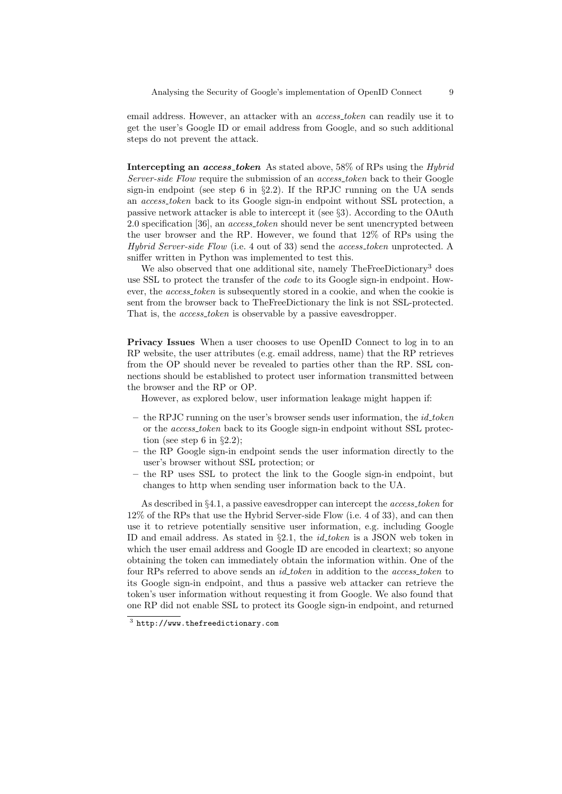email address. However, an attacker with an *access token* can readily use it to get the user's Google ID or email address from Google, and so such additional steps do not prevent the attack.

**Intercepting an** *access token* As stated above, 58% of RPs using the *Hybrid Server-side Flow* require the submission of an *access token* back to their Google sign-in endpoint (see step 6 in *§*2.2). If the RPJC running on the UA sends an *access token* back to its Google sign-in endpoint without SSL protection, a passive network attacker is able to intercept it (see *§*3). According to the OAuth 2.0 specification [36], an *access token* should never be sent unencrypted between the user browser and the RP. However, we found that 12% of RPs using the *Hybrid Server-side Flow* (i.e. 4 out of 33) send the *access token* unprotected. A sniffer written in Python was implemented to test this.

We also observed that one additional site, namely TheFreeDictionary<sup>3</sup> does use SSL to protect the transfer of the *code* to its Google sign-in endpoint. However, the *access token* is subsequently stored in a cookie, and when the cookie is sent from the browser back to TheFreeDictionary the link is not SSL-protected. That is, the *access\_token* is observable by a passive eavesdropper.

**Privacy Issues** When a user chooses to use OpenID Connect to log in to an RP website, the user attributes (e.g. email address, name) that the RP retrieves from the OP should never be revealed to parties other than the RP. SSL connections should be established to protect user information transmitted between the browser and the RP or OP.

However, as explored below, user information leakage might happen if:

- **–** the RPJC running on the user's browser sends user information, the *id token* or the *access token* back to its Google sign-in endpoint without SSL protection (see step 6 in *§*2.2);
- **–** the RP Google sign-in endpoint sends the user information directly to the user's browser without SSL protection; or
- **–** the RP uses SSL to protect the link to the Google sign-in endpoint, but changes to http when sending user information back to the UA.

As described in *§*4.1, a passive eavesdropper can intercept the *access token* for 12% of the RPs that use the Hybrid Server-side Flow (i.e. 4 of 33), and can then use it to retrieve potentially sensitive user information, e.g. including Google ID and email address. As stated in *§*2.1, the *id token* is a JSON web token in which the user email address and Google ID are encoded in cleartext; so anyone obtaining the token can immediately obtain the information within. One of the four RPs referred to above sends an *id token* in addition to the *access token* to its Google sign-in endpoint, and thus a passive web attacker can retrieve the token's user information without requesting it from Google. We also found that one RP did not enable SSL to protect its Google sign-in endpoint, and returned

 $^3$  http://www.thefreedictionary.com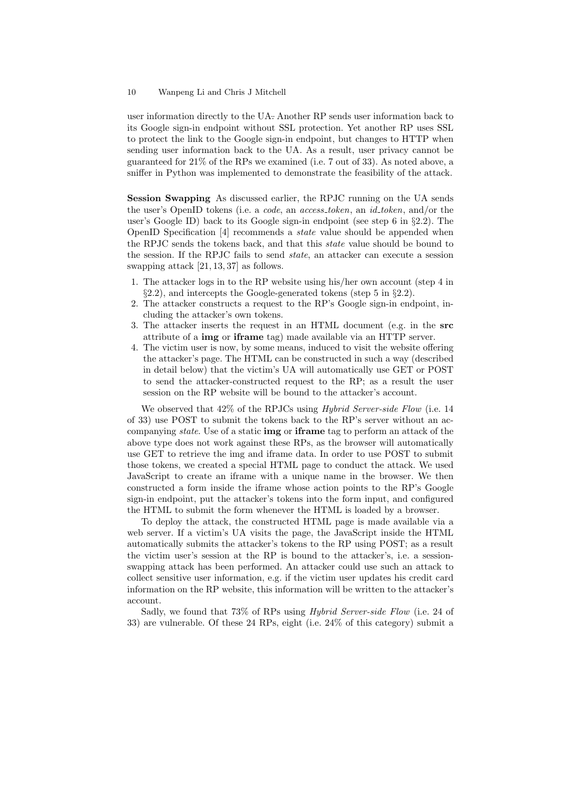user information directly to the UA: Another RP sends user information back to its Google sign-in endpoint without SSL protection. Yet another RP uses SSL to protect the link to the Google sign-in endpoint, but changes to HTTP when sending user information back to the UA. As a result, user privacy cannot be guaranteed for 21% of the RPs we examined (i.e. 7 out of 33). As noted above, a sniffer in Python was implemented to demonstrate the feasibility of the attack.

**Session Swapping** As discussed earlier, the RPJC running on the UA sends the user's OpenID tokens (i.e. a *code*, an *access token*, an *id token*, and/or the user's Google ID) back to its Google sign-in endpoint (see step 6 in *§*2.2). The OpenID Specification [4] recommends a *state* value should be appended when the RPJC sends the tokens back, and that this *state* value should be bound to the session. If the RPJC fails to send *state*, an attacker can execute a session swapping attack [21, 13, 37] as follows.

- 1. The attacker logs in to the RP website using his/her own account (step 4 in *§*2.2), and intercepts the Google-generated tokens (step 5 in *§*2.2).
- 2. The attacker constructs a request to the RP's Google sign-in endpoint, including the attacker's own tokens.
- 3. The attacker inserts the request in an HTML document (e.g. in the **src** attribute of a **img** or **iframe** tag) made available via an HTTP server.
- 4. The victim user is now, by some means, induced to visit the website offering the attacker's page. The HTML can be constructed in such a way (described in detail below) that the victim's UA will automatically use GET or POST to send the attacker-constructed request to the RP; as a result the user session on the RP website will be bound to the attacker's account.

We observed that 42% of the RPJCs using *Hybrid Server-side Flow* (i.e. 14 of 33) use POST to submit the tokens back to the RP's server without an accompanying *state*. Use of a static **img** or **iframe** tag to perform an attack of the above type does not work against these RPs, as the browser will automatically use GET to retrieve the img and iframe data. In order to use POST to submit those tokens, we created a special HTML page to conduct the attack. We used JavaScript to create an iframe with a unique name in the browser. We then constructed a form inside the iframe whose action points to the RP's Google sign-in endpoint, put the attacker's tokens into the form input, and configured the HTML to submit the form whenever the HTML is loaded by a browser.

To deploy the attack, the constructed HTML page is made available via a web server. If a victim's UA visits the page, the JavaScript inside the HTML automatically submits the attacker's tokens to the RP using POST; as a result the victim user's session at the RP is bound to the attacker's, i.e. a sessionswapping attack has been performed. An attacker could use such an attack to collect sensitive user information, e.g. if the victim user updates his credit card information on the RP website, this information will be written to the attacker's account.

Sadly, we found that 73% of RPs using *Hybrid Server-side Flow* (i.e. 24 of 33) are vulnerable. Of these 24 RPs, eight (i.e. 24% of this category) submit a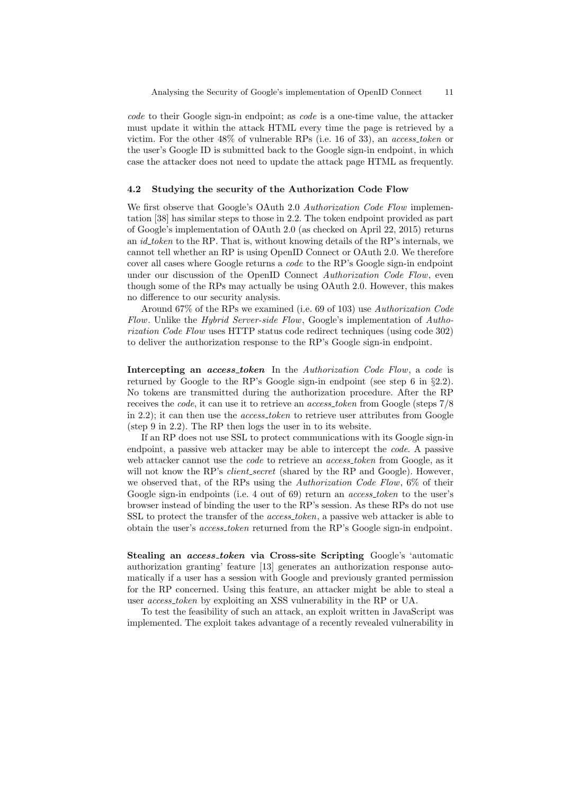*code* to their Google sign-in endpoint; as *code* is a one-time value, the attacker must update it within the attack HTML every time the page is retrieved by a victim. For the other 48% of vulnerable RPs (i.e. 16 of 33), an *access token* or the user's Google ID is submitted back to the Google sign-in endpoint, in which case the attacker does not need to update the attack page HTML as frequently.

### **4.2 Studying the security of the Authorization Code Flow**

We first observe that Google's OAuth 2.0 *Authorization Code Flow* implementation [38] has similar steps to those in 2.2. The token endpoint provided as part of Google's implementation of OAuth 2.0 (as checked on April 22, 2015) returns an *id token* to the RP. That is, without knowing details of the RP's internals, we cannot tell whether an RP is using OpenID Connect or OAuth 2.0. We therefore cover all cases where Google returns a *code* to the RP's Google sign-in endpoint under our discussion of the OpenID Connect *Authorization Code Flow*, even though some of the RPs may actually be using OAuth 2.0. However, this makes no difference to our security analysis.

Around 67% of the RPs we examined (i.e. 69 of 103) use *Authorization Code Flow*. Unlike the *Hybrid Server-side Flow*, Google's implementation of *Authorization Code Flow* uses HTTP status code redirect techniques (using code 302) to deliver the authorization response to the RP's Google sign-in endpoint.

**Intercepting an** *access token* In the *Authorization Code Flow*, a *code* is returned by Google to the RP's Google sign-in endpoint (see step 6 in *§*2.2). No tokens are transmitted during the authorization procedure. After the RP receives the *code*, it can use it to retrieve an *access token* from Google (steps 7/8 in 2.2); it can then use the *access token* to retrieve user attributes from Google (step 9 in 2.2). The RP then logs the user in to its website.

If an RP does not use SSL to protect communications with its Google sign-in endpoint, a passive web attacker may be able to intercept the *code*. A passive web attacker cannot use the *code* to retrieve an *access token* from Google, as it will not know the RP's *client\_secret* (shared by the RP and Google). However, we observed that, of the RPs using the *Authorization Code Flow*, 6% of their Google sign-in endpoints (i.e. 4 out of 69) return an *access token* to the user's browser instead of binding the user to the RP's session. As these RPs do not use SSL to protect the transfer of the *access token*, a passive web attacker is able to obtain the user's *access token* returned from the RP's Google sign-in endpoint.

**Stealing an** *access token* **via Cross-site Scripting** Google's 'automatic authorization granting' feature [13] generates an authorization response automatically if a user has a session with Google and previously granted permission for the RP concerned. Using this feature, an attacker might be able to steal a user *access token* by exploiting an XSS vulnerability in the RP or UA.

To test the feasibility of such an attack, an exploit written in JavaScript was implemented. The exploit takes advantage of a recently revealed vulnerability in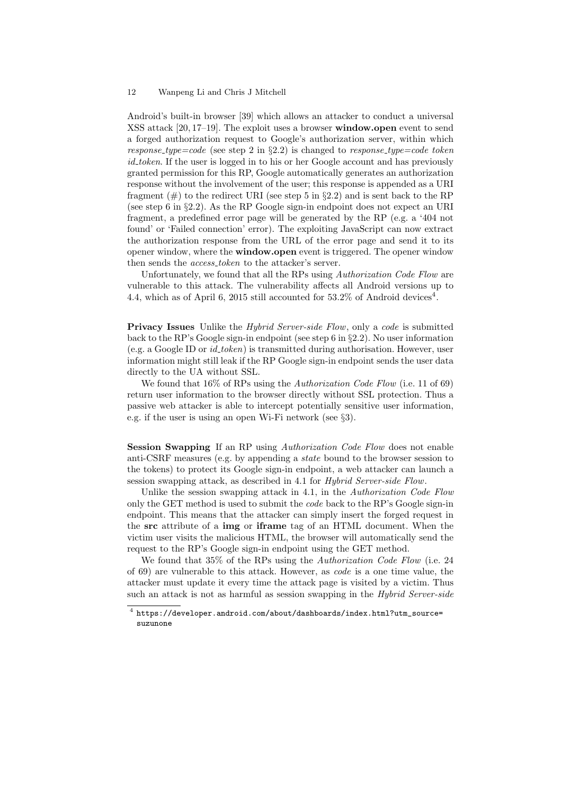Android's built-in browser [39] which allows an attacker to conduct a universal XSS attack [20, 17–19]. The exploit uses a browser **window.open** event to send a forged authorization request to Google's authorization server, within which *response type=code* (see step 2 in *§*2.2) is changed to *response type=code token id token*. If the user is logged in to his or her Google account and has previously granted permission for this RP, Google automatically generates an authorization response without the involvement of the user; this response is appended as a URI fragment (#) to the redirect URI (see step 5 in *§*2.2) and is sent back to the RP (see step 6 in *§*2.2). As the RP Google sign-in endpoint does not expect an URI fragment, a predefined error page will be generated by the RP (e.g. a '404 not found' or 'Failed connection' error). The exploiting JavaScript can now extract the authorization response from the URL of the error page and send it to its opener window, where the **window.open** event is triggered. The opener window then sends the *access token* to the attacker's server.

Unfortunately, we found that all the RPs using *Authorization Code Flow* are vulnerable to this attack. The vulnerability affects all Android versions up to 4.4, which as of April 6, 2015 still accounted for  $53.2\%$  of Android devices<sup>4</sup>.

**Privacy Issues** Unlike the *Hybrid Server-side Flow*, only a *code* is submitted back to the RP's Google sign-in endpoint (see step 6 in *§*2.2). No user information (e.g. a Google ID or *id token*) is transmitted during authorisation. However, user information might still leak if the RP Google sign-in endpoint sends the user data directly to the UA without SSL.

We found that 16% of RPs using the *Authorization Code Flow* (i.e. 11 of 69) return user information to the browser directly without SSL protection. Thus a passive web attacker is able to intercept potentially sensitive user information, e.g. if the user is using an open Wi-Fi network (see *§*3).

**Session Swapping** If an RP using *Authorization Code Flow* does not enable anti-CSRF measures (e.g. by appending a *state* bound to the browser session to the tokens) to protect its Google sign-in endpoint, a web attacker can launch a session swapping attack, as described in 4.1 for *Hybrid Server-side Flow*.

Unlike the session swapping attack in 4.1, in the *Authorization Code Flow* only the GET method is used to submit the *code* back to the RP's Google sign-in endpoint. This means that the attacker can simply insert the forged request in the **src** attribute of a **img** or **iframe** tag of an HTML document. When the victim user visits the malicious HTML, the browser will automatically send the request to the RP's Google sign-in endpoint using the GET method.

We found that 35% of the RPs using the *Authorization Code Flow* (i.e. 24 of 69) are vulnerable to this attack. However, as *code* is a one time value, the attacker must update it every time the attack page is visited by a victim. Thus such an attack is not as harmful as session swapping in the *Hybrid Server-side*

 $^4$  https://developer.android.com/about/dashboards/index.html?utm\_source= suzunone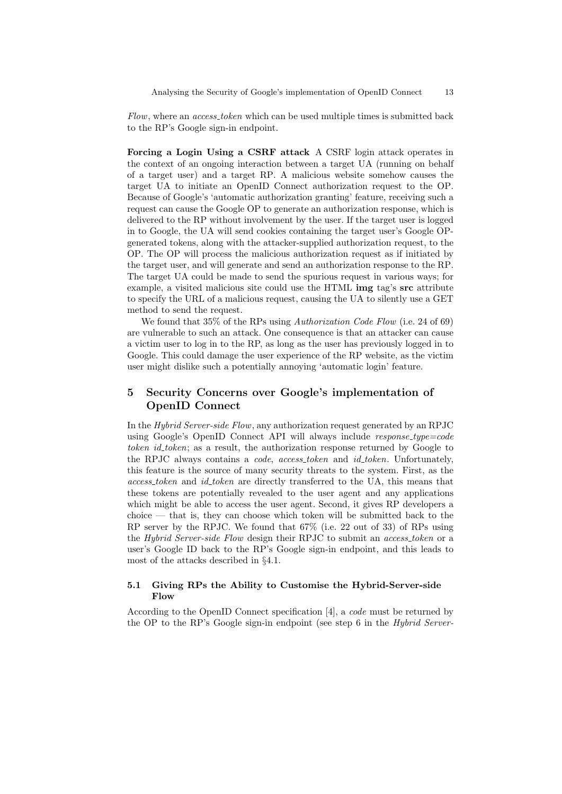*Flow*, where an *access token* which can be used multiple times is submitted back to the RP's Google sign-in endpoint.

**Forcing a Login Using a CSRF attack** A CSRF login attack operates in the context of an ongoing interaction between a target UA (running on behalf of a target user) and a target RP. A malicious website somehow causes the target UA to initiate an OpenID Connect authorization request to the OP. Because of Google's 'automatic authorization granting' feature, receiving such a request can cause the Google OP to generate an authorization response, which is delivered to the RP without involvement by the user. If the target user is logged in to Google, the UA will send cookies containing the target user's Google OPgenerated tokens, along with the attacker-supplied authorization request, to the OP. The OP will process the malicious authorization request as if initiated by the target user, and will generate and send an authorization response to the RP. The target UA could be made to send the spurious request in various ways; for example, a visited malicious site could use the HTML **img** tag's **src** attribute to specify the URL of a malicious request, causing the UA to silently use a GET method to send the request.

We found that 35% of the RPs using *Authorization Code Flow* (i.e. 24 of 69) are vulnerable to such an attack. One consequence is that an attacker can cause a victim user to log in to the RP, as long as the user has previously logged in to Google. This could damage the user experience of the RP website, as the victim user might dislike such a potentially annoying 'automatic login' feature.

## **5 Security Concerns over Google's implementation of OpenID Connect**

In the *Hybrid Server-side Flow*, any authorization request generated by an RPJC using Google's OpenID Connect API will always include *response type=code token id\_token*; as a result, the authorization response returned by Google to the RPJC always contains a *code*, *access token* and *id token*. Unfortunately, this feature is the source of many security threats to the system. First, as the *access token* and *id token* are directly transferred to the UA, this means that these tokens are potentially revealed to the user agent and any applications which might be able to access the user agent. Second, it gives RP developers a choice  $-$  that is, they can choose which token will be submitted back to the RP server by the RPJC. We found that 67% (i.e. 22 out of 33) of RPs using the *Hybrid Server-side Flow* design their RPJC to submit an *access token* or a user's Google ID back to the RP's Google sign-in endpoint, and this leads to most of the attacks described in *§*4.1.

### **5.1 Giving RPs the Ability to Customise the Hybrid-Server-side Flow**

According to the OpenID Connect specification [4], a *code* must be returned by the OP to the RP's Google sign-in endpoint (see step 6 in the *Hybrid Server-*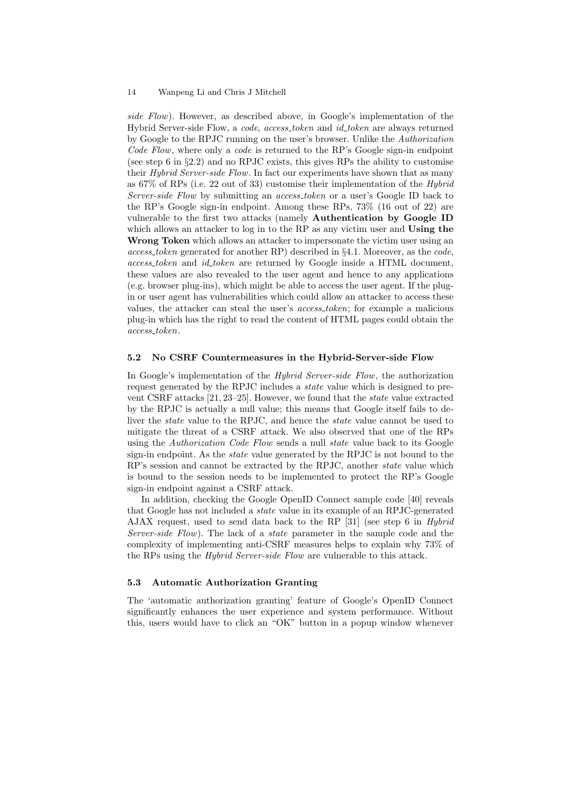*side Flow*). However, as described above, in Google's implementation of the Hybrid Server-side Flow, a *code*, *access token* and *id token* are always returned by Google to the RPJC running on the user's browser. Unlike the *Authorization Code Flow*, where only a *code* is returned to the RP's Google sign-in endpoint (see step 6 in *§*2.2) and no RPJC exists, this gives RPs the ability to customise their *Hybrid Server-side Flow*. In fact our experiments have shown that as many as 67% of RPs (i.e. 22 out of 33) customise their implementation of the *Hybrid Server-side Flow* by submitting an *access token* or a user's Google ID back to the RP's Google sign-in endpoint. Among these RPs, 73% (16 out of 22) are vulnerable to the first two attacks (namely **Authentication by Google ID** which allows an attacker to log in to the RP as any victim user and **Using the Wrong Token** which allows an attacker to impersonate the victim user using an *access token* generated for another RP) described in *§*4.1. Moreover, as the *code*, *access token* and *id token* are returned by Google inside a HTML document, these values are also revealed to the user agent and hence to any applications (e.g. browser plug-ins), which might be able to access the user agent. If the plugin or user agent has vulnerabilities which could allow an attacker to access these values, the attacker can steal the user's *access token*; for example a malicious plug-in which has the right to read the content of HTML pages could obtain the *access token*.

### **5.2 No CSRF Countermeasures in the Hybrid-Server-side Flow**

In Google's implementation of the *Hybrid Server-side Flow*, the authorization request generated by the RPJC includes a *state* value which is designed to prevent CSRF attacks [21, 23–25]. However, we found that the *state* value extracted by the RPJC is actually a null value; this means that Google itself fails to deliver the *state* value to the RPJC, and hence the *state* value cannot be used to mitigate the threat of a CSRF attack. We also observed that one of the RPs using the *Authorization Code Flow* sends a null *state* value back to its Google sign-in endpoint. As the *state* value generated by the RPJC is not bound to the RP's session and cannot be extracted by the RPJC, another *state* value which is bound to the session needs to be implemented to protect the RP's Google sign-in endpoint against a CSRF attack.

In addition, checking the Google OpenID Connect sample code [40] reveals that Google has not included a *state* value in its example of an RPJC-generated AJAX request, used to send data back to the RP [31] (see step 6 in *Hybrid Server-side Flow*). The lack of a *state* parameter in the sample code and the complexity of implementing anti-CSRF measures helps to explain why 73% of the RPs using the *Hybrid Server-side Flow* are vulnerable to this attack.

#### **5.3 Automatic Authorization Granting**

The 'automatic authorization granting' feature of Google's OpenID Connect significantly enhances the user experience and system performance. Without this, users would have to click an "OK" button in a popup window whenever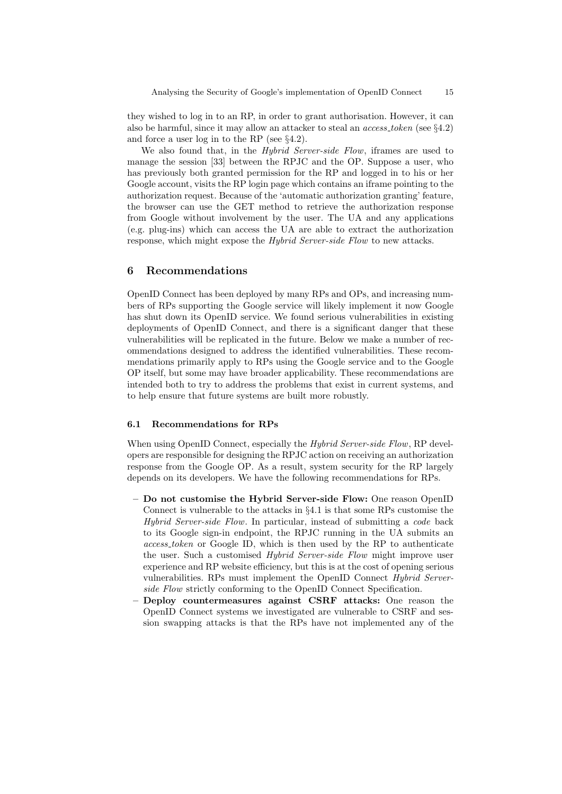they wished to log in to an RP, in order to grant authorisation. However, it can also be harmful, since it may allow an attacker to steal an *access token* (see *§*4.2) and force a user log in to the RP (see *§*4.2).

We also found that, in the *Hybrid Server-side Flow*, iframes are used to manage the session [33] between the RPJC and the OP. Suppose a user, who has previously both granted permission for the RP and logged in to his or her Google account, visits the RP login page which contains an iframe pointing to the authorization request. Because of the 'automatic authorization granting' feature, the browser can use the GET method to retrieve the authorization response from Google without involvement by the user. The UA and any applications (e.g. plug-ins) which can access the UA are able to extract the authorization response, which might expose the *Hybrid Server-side Flow* to new attacks.

### **6 Recommendations**

OpenID Connect has been deployed by many RPs and OPs, and increasing numbers of RPs supporting the Google service will likely implement it now Google has shut down its OpenID service. We found serious vulnerabilities in existing deployments of OpenID Connect, and there is a significant danger that these vulnerabilities will be replicated in the future. Below we make a number of recommendations designed to address the identified vulnerabilities. These recommendations primarily apply to RPs using the Google service and to the Google OP itself, but some may have broader applicability. These recommendations are intended both to try to address the problems that exist in current systems, and to help ensure that future systems are built more robustly.

### **6.1 Recommendations for RPs**

When using OpenID Connect, especially the *Hybrid Server-side Flow*, RP developers are responsible for designing the RPJC action on receiving an authorization response from the Google OP. As a result, system security for the RP largely depends on its developers. We have the following recommendations for RPs.

- **– Do not customise the Hybrid Server-side Flow:** One reason OpenID Connect is vulnerable to the attacks in *§*4.1 is that some RPs customise the *Hybrid Server-side Flow*. In particular, instead of submitting a *code* back to its Google sign-in endpoint, the RPJC running in the UA submits an *access token* or Google ID, which is then used by the RP to authenticate the user. Such a customised *Hybrid Server-side Flow* might improve user experience and RP website efficiency, but this is at the cost of opening serious vulnerabilities. RPs must implement the OpenID Connect *Hybrid Serverside Flow* strictly conforming to the OpenID Connect Specification.
- **– Deploy countermeasures against CSRF attacks:** One reason the OpenID Connect systems we investigated are vulnerable to CSRF and session swapping attacks is that the RPs have not implemented any of the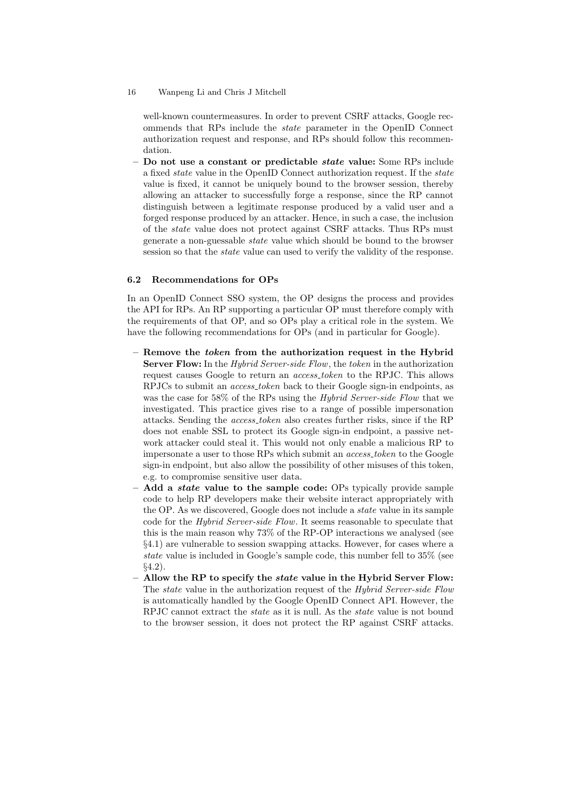well-known countermeasures. In order to prevent CSRF attacks, Google recommends that RPs include the *state* parameter in the OpenID Connect authorization request and response, and RPs should follow this recommendation.

**– Do not use a constant or predictable** *state* **value:** Some RPs include a fixed *state* value in the OpenID Connect authorization request. If the *state* value is fixed, it cannot be uniquely bound to the browser session, thereby allowing an attacker to successfully forge a response, since the RP cannot distinguish between a legitimate response produced by a valid user and a forged response produced by an attacker. Hence, in such a case, the inclusion of the *state* value does not protect against CSRF attacks. Thus RPs must generate a non-guessable *state* value which should be bound to the browser session so that the *state* value can used to verify the validity of the response.

### **6.2 Recommendations for OPs**

In an OpenID Connect SSO system, the OP designs the process and provides the API for RPs. An RP supporting a particular OP must therefore comply with the requirements of that OP, and so OPs play a critical role in the system. We have the following recommendations for OPs (and in particular for Google).

- **– Remove the** *token* **from the authorization request in the Hybrid Server Flow:** In the *Hybrid Server-side Flow*, the *token* in the authorization request causes Google to return an *access token* to the RPJC. This allows RPJCs to submit an *access token* back to their Google sign-in endpoints, as was the case for 58% of the RPs using the *Hybrid Server-side Flow* that we investigated. This practice gives rise to a range of possible impersonation attacks. Sending the *access token* also creates further risks, since if the RP does not enable SSL to protect its Google sign-in endpoint, a passive network attacker could steal it. This would not only enable a malicious RP to impersonate a user to those RPs which submit an *access token* to the Google sign-in endpoint, but also allow the possibility of other misuses of this token, e.g. to compromise sensitive user data.
- **– Add a** *state* **value to the sample code:** OPs typically provide sample code to help RP developers make their website interact appropriately with the OP. As we discovered, Google does not include a *state* value in its sample code for the *Hybrid Server-side Flow*. It seems reasonable to speculate that this is the main reason why 73% of the RP-OP interactions we analysed (see *§*4.1) are vulnerable to session swapping attacks. However, for cases where a *state* value is included in Google's sample code, this number fell to 35% (see *§*4.2).
- **– Allow the RP to specify the** *state* **value in the Hybrid Server Flow:** The *state* value in the authorization request of the *Hybrid Server-side Flow* is automatically handled by the Google OpenID Connect API. However, the RPJC cannot extract the *state* as it is null. As the *state* value is not bound to the browser session, it does not protect the RP against CSRF attacks.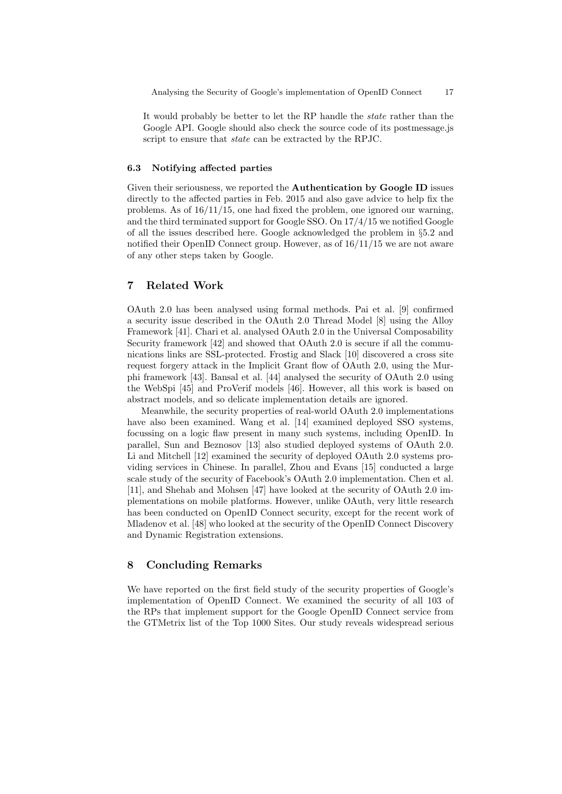It would probably be better to let the RP handle the *state* rather than the Google API. Google should also check the source code of its postmessage.js script to ensure that *state* can be extracted by the RPJC.

#### **6.3 Notifying affected parties**

Given their seriousness, we reported the **Authentication by Google ID** issues directly to the affected parties in Feb. 2015 and also gave advice to help fix the problems. As of 16/11/15, one had fixed the problem, one ignored our warning, and the third terminated support for Google SSO. On 17/4/15 we notified Google of all the issues described here. Google acknowledged the problem in *§*5.2 and notified their OpenID Connect group. However, as of 16/11/15 we are not aware of any other steps taken by Google.

### **7 Related Work**

OAuth 2.0 has been analysed using formal methods. Pai et al. [9] confirmed a security issue described in the OAuth 2.0 Thread Model [8] using the Alloy Framework [41]. Chari et al. analysed OAuth 2.0 in the Universal Composability Security framework [42] and showed that OAuth 2.0 is secure if all the communications links are SSL-protected. Frostig and Slack [10] discovered a cross site request forgery attack in the Implicit Grant flow of OAuth 2.0, using the Murphi framework [43]. Bansal et al. [44] analysed the security of OAuth 2.0 using the WebSpi [45] and ProVerif models [46]. However, all this work is based on abstract models, and so delicate implementation details are ignored.

Meanwhile, the security properties of real-world OAuth 2.0 implementations have also been examined. Wang et al. [14] examined deployed SSO systems, focussing on a logic flaw present in many such systems, including OpenID. In parallel, Sun and Beznosov [13] also studied deployed systems of OAuth 2.0. Li and Mitchell [12] examined the security of deployed OAuth 2.0 systems providing services in Chinese. In parallel, Zhou and Evans [15] conducted a large scale study of the security of Facebook's OAuth 2.0 implementation. Chen et al. [11], and Shehab and Mohsen [47] have looked at the security of OAuth 2.0 implementations on mobile platforms. However, unlike OAuth, very little research has been conducted on OpenID Connect security, except for the recent work of Mladenov et al. [48] who looked at the security of the OpenID Connect Discovery and Dynamic Registration extensions.

### **8 Concluding Remarks**

We have reported on the first field study of the security properties of Google's implementation of OpenID Connect. We examined the security of all 103 of the RPs that implement support for the Google OpenID Connect service from the GTMetrix list of the Top 1000 Sites. Our study reveals widespread serious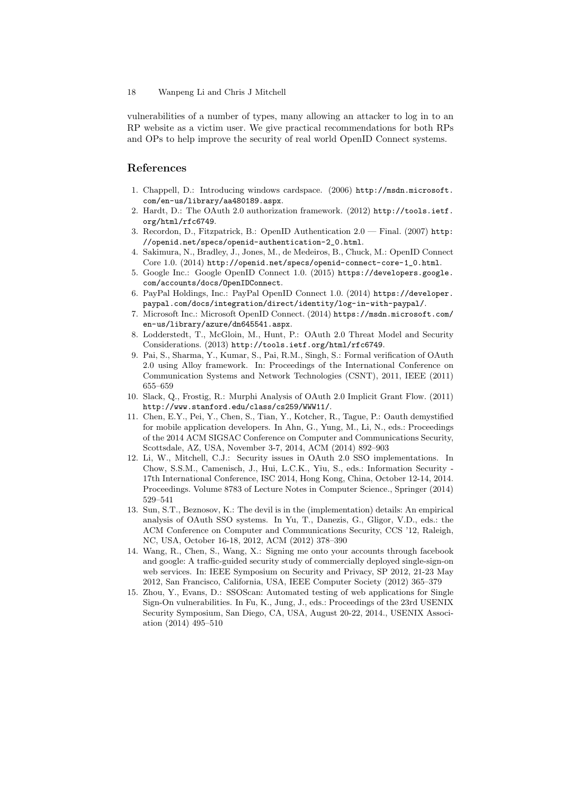vulnerabilities of a number of types, many allowing an attacker to log in to an RP website as a victim user. We give practical recommendations for both RPs and OPs to help improve the security of real world OpenID Connect systems.

### **References**

- 1. Chappell, D.: Introducing windows cardspace. (2006) http://msdn.microsoft. com/en-us/library/aa480189.aspx.
- 2. Hardt, D.: The OAuth 2.0 authorization framework. (2012) http://tools.ietf. org/html/rfc6749.
- 3. Recordon, D., Fitzpatrick, B.: OpenID Authentication 2.0 Final. (2007) http: //openid.net/specs/openid-authentication-2\_0.html.
- 4. Sakimura, N., Bradley, J., Jones, M., de Medeiros, B., Chuck, M.: OpenID Connect Core 1.0. (2014) http://openid.net/specs/openid-connect-core-1\_0.html.
- 5. Google Inc.: Google OpenID Connect 1.0. (2015) https://developers.google. com/accounts/docs/OpenIDConnect.
- 6. PayPal Holdings, Inc.: PayPal OpenID Connect 1.0. (2014) https://developer. paypal.com/docs/integration/direct/identity/log-in-with-paypal/.
- 7. Microsoft Inc.: Microsoft OpenID Connect. (2014) https://msdn.microsoft.com/ en-us/library/azure/dn645541.aspx.
- 8. Lodderstedt, T., McGloin, M., Hunt, P.: OAuth 2.0 Threat Model and Security Considerations. (2013) http://tools.ietf.org/html/rfc6749.
- 9. Pai, S., Sharma, Y., Kumar, S., Pai, R.M., Singh, S.: Formal verification of OAuth 2.0 using Alloy framework. In: Proceedings of the International Conference on Communication Systems and Network Technologies (CSNT), 2011, IEEE (2011) 655–659
- 10. Slack, Q., Frostig, R.: Murphi Analysis of OAuth 2.0 Implicit Grant Flow. (2011) http://www.stanford.edu/class/cs259/WWW11/.
- 11. Chen, E.Y., Pei, Y., Chen, S., Tian, Y., Kotcher, R., Tague, P.: Oauth demystified for mobile application developers. In Ahn, G., Yung, M., Li, N., eds.: Proceedings of the 2014 ACM SIGSAC Conference on Computer and Communications Security, Scottsdale, AZ, USA, November 3-7, 2014, ACM (2014) 892–903
- 12. Li, W., Mitchell, C.J.: Security issues in OAuth 2.0 SSO implementations. In Chow, S.S.M., Camenisch, J., Hui, L.C.K., Yiu, S., eds.: Information Security - 17th International Conference, ISC 2014, Hong Kong, China, October 12-14, 2014. Proceedings. Volume 8783 of Lecture Notes in Computer Science., Springer (2014) 529–541
- 13. Sun, S.T., Beznosov, K.: The devil is in the (implementation) details: An empirical analysis of OAuth SSO systems. In Yu, T., Danezis, G., Gligor, V.D., eds.: the ACM Conference on Computer and Communications Security, CCS '12, Raleigh, NC, USA, October 16-18, 2012, ACM (2012) 378–390
- 14. Wang, R., Chen, S., Wang, X.: Signing me onto your accounts through facebook and google: A traffic-guided security study of commercially deployed single-sign-on web services. In: IEEE Symposium on Security and Privacy, SP 2012, 21-23 May 2012, San Francisco, California, USA, IEEE Computer Society (2012) 365–379
- 15. Zhou, Y., Evans, D.: SSOScan: Automated testing of web applications for Single Sign-On vulnerabilities. In Fu, K., Jung, J., eds.: Proceedings of the 23rd USENIX Security Symposium, San Diego, CA, USA, August 20-22, 2014., USENIX Association (2014) 495–510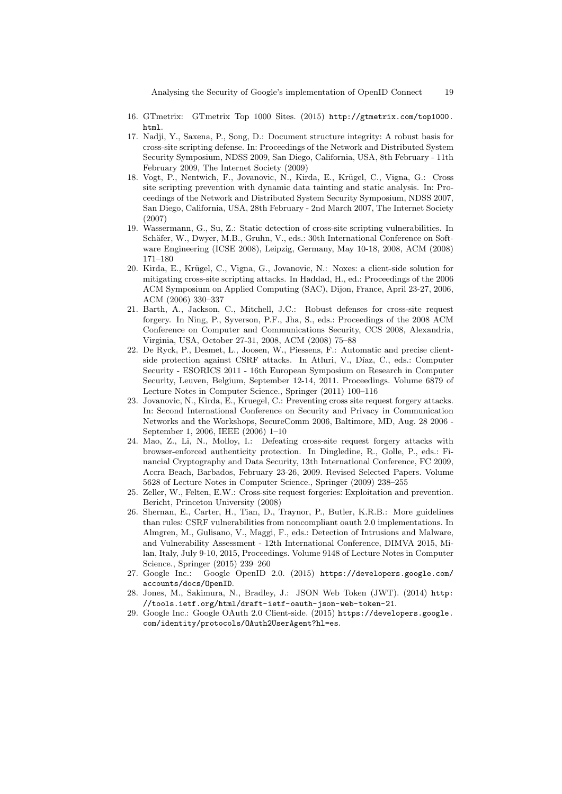- 16. GTmetrix: GTmetrix Top 1000 Sites. (2015) http://gtmetrix.com/top1000. html.
- 17. Nadji, Y., Saxena, P., Song, D.: Document structure integrity: A robust basis for cross-site scripting defense. In: Proceedings of the Network and Distributed System Security Symposium, NDSS 2009, San Diego, California, USA, 8th February - 11th February 2009, The Internet Society (2009)
- 18. Vogt, P., Nentwich, F., Jovanovic, N., Kirda, E., Krügel, C., Vigna, G.: Cross site scripting prevention with dynamic data tainting and static analysis. In: Proceedings of the Network and Distributed System Security Symposium, NDSS 2007, San Diego, California, USA, 28th February - 2nd March 2007, The Internet Society (2007)
- 19. Wassermann, G., Su, Z.: Static detection of cross-site scripting vulnerabilities. In Schäfer, W., Dwyer, M.B., Gruhn, V., eds.: 30th International Conference on Software Engineering (ICSE 2008), Leipzig, Germany, May 10-18, 2008, ACM (2008) 171–180
- 20. Kirda, E., Krügel, C., Vigna, G., Jovanovic, N.: Noxes: a client-side solution for mitigating cross-site scripting attacks. In Haddad, H., ed.: Proceedings of the 2006 ACM Symposium on Applied Computing (SAC), Dijon, France, April 23-27, 2006, ACM (2006) 330–337
- 21. Barth, A., Jackson, C., Mitchell, J.C.: Robust defenses for cross-site request forgery. In Ning, P., Syverson, P.F., Jha, S., eds.: Proceedings of the 2008 ACM Conference on Computer and Communications Security, CCS 2008, Alexandria, Virginia, USA, October 27-31, 2008, ACM (2008) 75–88
- 22. De Ryck, P., Desmet, L., Joosen, W., Piessens, F.: Automatic and precise clientside protection against CSRF attacks. In Atluri, V., Díaz, C., eds.: Computer Security - ESORICS 2011 - 16th European Symposium on Research in Computer Security, Leuven, Belgium, September 12-14, 2011. Proceedings. Volume 6879 of Lecture Notes in Computer Science., Springer (2011) 100–116
- 23. Jovanovic, N., Kirda, E., Kruegel, C.: Preventing cross site request forgery attacks. In: Second International Conference on Security and Privacy in Communication Networks and the Workshops, SecureComm 2006, Baltimore, MD, Aug. 28 2006 - September 1, 2006, IEEE (2006) 1–10
- 24. Mao, Z., Li, N., Molloy, I.: Defeating cross-site request forgery attacks with browser-enforced authenticity protection. In Dingledine, R., Golle, P., eds.: Financial Cryptography and Data Security, 13th International Conference, FC 2009, Accra Beach, Barbados, February 23-26, 2009. Revised Selected Papers. Volume 5628 of Lecture Notes in Computer Science., Springer (2009) 238–255
- 25. Zeller, W., Felten, E.W.: Cross-site request forgeries: Exploitation and prevention. Bericht, Princeton University (2008)
- 26. Shernan, E., Carter, H., Tian, D., Traynor, P., Butler, K.R.B.: More guidelines than rules: CSRF vulnerabilities from noncompliant oauth 2.0 implementations. In Almgren, M., Gulisano, V., Maggi, F., eds.: Detection of Intrusions and Malware, and Vulnerability Assessment - 12th International Conference, DIMVA 2015, Milan, Italy, July 9-10, 2015, Proceedings. Volume 9148 of Lecture Notes in Computer Science., Springer (2015) 239–260
- 27. Google Inc.: Google OpenID 2.0. (2015) https://developers.google.com/ accounts/docs/OpenID.
- 28. Jones, M., Sakimura, N., Bradley, J.: JSON Web Token (JWT). (2014) http: //tools.ietf.org/html/draft-ietf-oauth-json-web-token-21.
- 29. Google Inc.: Google OAuth 2.0 Client-side. (2015) https://developers.google. com/identity/protocols/OAuth2UserAgent?hl=es.